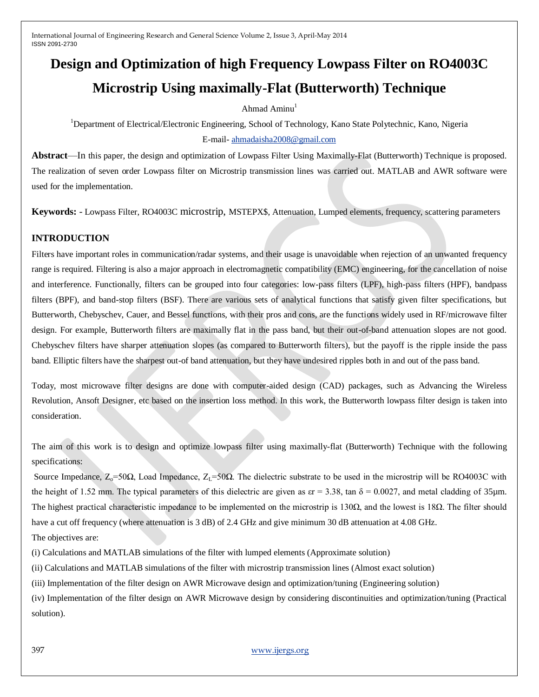# **Design and Optimization of high Frequency Lowpass Filter on RO4003C Microstrip Using maximally-Flat (Butterworth) Technique**

# Ahmad Aminu $<sup>1</sup>$ </sup>

<sup>1</sup>Department of Electrical/Electronic Engineering, School of Technology, Kano State Polytechnic, Kano, Nigeria E-mail- [ahmadaisha2008@gmail.com](mailto:ahmadaisha2008@gmail.com)

**Abstract**—In this paper, the design and optimization of Lowpass Filter Using Maximally-Flat (Butterworth) Technique is proposed. The realization of seven order Lowpass filter on Microstrip transmission lines was carried out. MATLAB and AWR software were used for the implementation.

**Keywords:** - Lowpass Filter, RO4003C microstrip, MSTEPX\$, Attenuation, Lumped elements, frequency, scattering parameters

# **INTRODUCTION**

Filters have important roles in communication/radar systems, and their usage is unavoidable when rejection of an unwanted frequency range is required. Filtering is also a major approach in electromagnetic compatibility (EMC) engineering, for the cancellation of noise and interference. Functionally, filters can be grouped into four categories: low-pass filters (LPF), high-pass filters (HPF), bandpass filters (BPF), and band-stop filters (BSF). There are various sets of analytical functions that satisfy given filter specifications, but Butterworth, Chebyschev, Cauer, and Bessel functions, with their pros and cons, are the functions widely used in RF/microwave filter design. For example, Butterworth filters are maximally flat in the pass band, but their out-of-band attenuation slopes are not good. Chebyschev filters have sharper attenuation slopes (as compared to Butterworth filters), but the payoff is the ripple inside the pass band. Elliptic filters have the sharpest out-of band attenuation, but they have undesired ripples both in and out of the pass band.

Today, most microwave filter designs are done with computer-aided design (CAD) packages, such as Advancing the Wireless Revolution, Ansoft Designer, etc based on the insertion loss method. In this work, the Butterworth lowpass filter design is taken into consideration.

The aim of this work is to design and optimize lowpass filter using maximally-flat (Butterworth) Technique with the following specifications:

Source Impedance,  $Z_0$ =50Ω, Load Impedance,  $Z_1$ =50Ω. The dielectric substrate to be used in the microstrip will be RO4003C with the height of 1.52 mm. The typical parameters of this dielectric are given as  $\epsilon r = 3.38$ ,  $\tan \delta = 0.0027$ , and metal cladding of 35 um. The highest practical characteristic impedance to be implemented on the microstrip is  $130\Omega$ , and the lowest is  $18\Omega$ . The filter should have a cut off frequency (where attenuation is 3 dB) of 2.4 GHz and give minimum 30 dB attenuation at 4.08 GHz.

The objectives are:

(i) Calculations and MATLAB simulations of the filter with lumped elements (Approximate solution)

(ii) Calculations and MATLAB simulations of the filter with microstrip transmission lines (Almost exact solution)

(iii) Implementation of the filter design on AWR Microwave design and optimization/tuning (Engineering solution)

(iv) Implementation of the filter design on AWR Microwave design by considering discontinuities and optimization/tuning (Practical solution).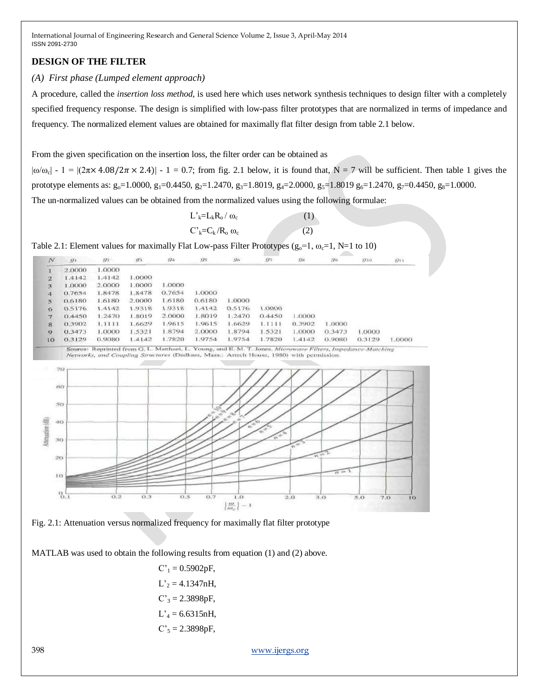## **DESIGN OF THE FILTER**

### *(A) First phase (Lumped element approach)*

A procedure, called the *insertion loss method*, is used here which uses network synthesis techniques to design filter with a completely specified frequency response. The design is simplified with low-pass filter prototypes that are normalized in terms of impedance and frequency. The normalized element values are obtained for maximally flat filter design from table 2.1 below.

From the given specification on the insertion loss, the filter order can be obtained as

 $|\omega/\omega_c|$  - 1 =  $|(2\pi \times 4.08/2\pi \times 2.4)|$  - 1 = 0.7; from fig. 2.1 below, it is found that, N = 7 will be sufficient. Then table 1 gives the prototype elements as:  $g_0$ =1.0000,  $g_1$ =0.4450,  $g_2$ =1.2470,  $g_3$ =1.8019,  $g_4$ =2.0000,  $g_5$ =1.8019  $g_6$ =1.2470,  $g_7$ =0.4450,  $g_8$ =1.0000.

The un-normalized values can be obtained from the normalized values using the following formulae:

| $L^{\prime}{}_{k} = L_{k}R_{o}/\omega_{c}$ | (1) |
|--------------------------------------------|-----|
| $C_{k} = C_{k}/R_{o} \omega_{c}$           | (2) |

Table 2.1: Element values for maximally Flat Low-pass Filter Prototypes ( $g_0$ =1,  $\omega$ <sub>c</sub>=1, N=1 to 10)





MATLAB was used to obtain the following results from equation (1) and (2) above.

 $C'_1 = 0.5902pF$ ,  $L'_2 = 4.1347nH$ ,  $C'_3 = 2.3898pF$ ,  $L'<sub>4</sub> = 6.6315nH,$  $C'_{5} = 2.3898pF,$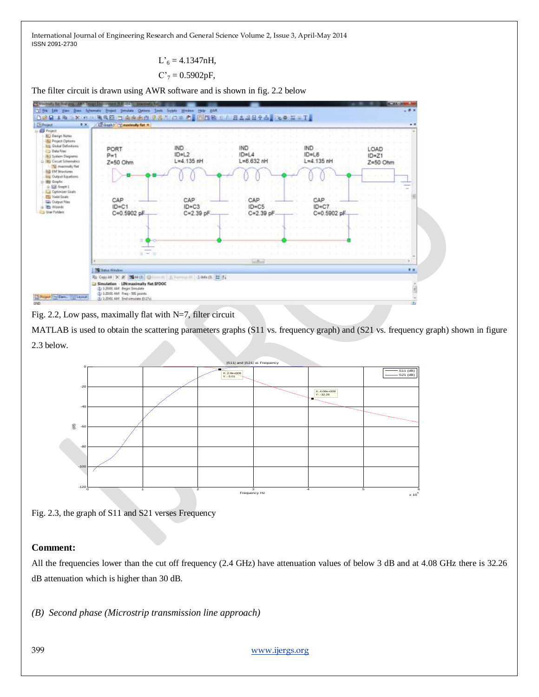> $L_{6}^{3} = 4.1347$ nH,  $C<sub>7</sub> = 0.5902pF,$

The filter circuit is drawn using AWR software and is shown in fig. 2.2 below



Fig. 2.2, Low pass, maximally flat with N=7, filter circuit

MATLAB is used to obtain the scattering parameters graphs (S11 vs. frequency graph) and (S21 vs. frequency graph) shown in figure 2.3 below.



Fig. 2.3, the graph of S11 and S21 verses Frequency

#### **Comment:**

All the frequencies lower than the cut off frequency (2.4 GHz) have attenuation values of below 3 dB and at 4.08 GHz there is 32.26 dB attenuation which is higher than 30 dB.

*(B) Second phase (Microstrip transmission line approach)*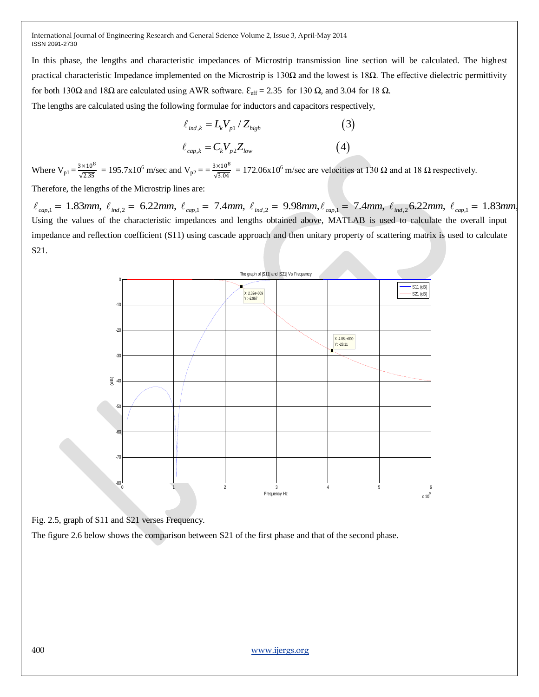In this phase, the lengths and characteristic impedances of Microstrip transmission line section will be calculated. The highest practical characteristic Impedance implemented on the Microstrip is 130Ω and the lowest is 18 $Ω$ . The effective dielectric permittivity for both 130Ω and 18Ω are calculated using AWR software.  $\mathcal{E}_{eff} = 2.35$  for 130 Ω, and 3.04 for 18 Ω.

The lengths are calculated using the following formulae for inductors and capacitors respectively,<br>  $\ell_{ind,k} = L_k V_{p1} / Z_{high}$  (3)

$$
\ell_{ind,k} = L_k V_{p1} / Z_{high}
$$
\n
$$
\ell_{cap,k} = C_k V_{p2} Z_{low}
$$
\n
$$
\tag{4}
$$

Where  $V_{p1} = \frac{3 \times 10^8}{\sqrt{2.35}}$  $\frac{3 \times 10^8}{\sqrt{2.35}}$  = 195.7x10<sup>6</sup> m/sec and V<sub>p2</sub> =  $\frac{3 \times 10^8}{\sqrt{3.04}}$  $\frac{3 \times 10^{6}}{\sqrt{3.04}}$  = 172.06x10<sup>6</sup> m/sec are velocities at 130  $\Omega$  and at 18  $\Omega$  respectively.

Therefore, the lengths of the Microstrip lines are:

 $\ell_{cap,k} = C_k V_{p2} Z_{low}$  (4)<br>
Where  $V_{p1} = \frac{3 \times 10^8}{\sqrt{2.35}} = 195.7 \times 10^6$  m/sec and  $V_{p2} = \frac{3 \times 10^8}{\sqrt{3.04}} = 172.06 \times 10^6$  m/sec are velocities at 130  $\Omega$  and at 18  $\Omega$  respectively.<br>
Therefore, the lengths of the Using the values of the characteristic impedances and lengths obtained above, MATLAB is used to calculate the overall input impedance and reflection coefficient (S11) using cascade approach and then unitary property of scattering matrix is used to calculate S21.





The figure 2.6 below shows the comparison between S21 of the first phase and that of the second phase.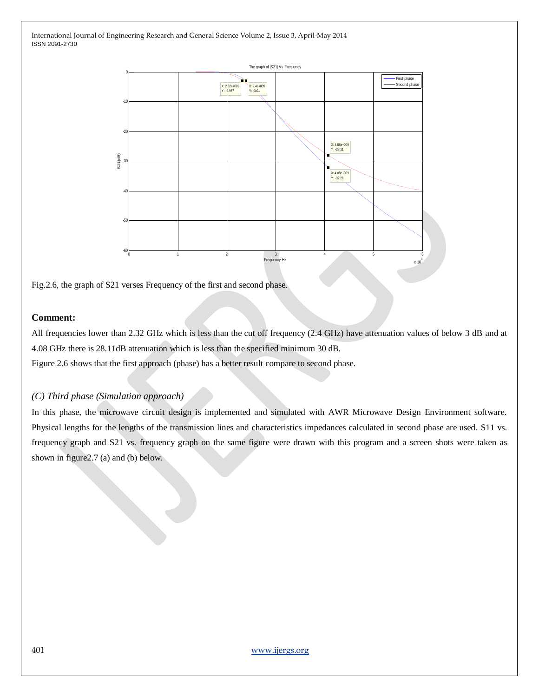

Fig.2.6, the graph of S21 verses Frequency of the first and second phase.

## **Comment:**

All frequencies lower than 2.32 GHz which is less than the cut off frequency (2.4 GHz) have attenuation values of below 3 dB and at 4.08 GHz there is 28.11dB attenuation which is less than the specified minimum 30 dB. Figure 2.6 shows that the first approach (phase) has a better result compare to second phase.

# *(C) Third phase (Simulation approach)*

In this phase, the microwave circuit design is implemented and simulated with AWR Microwave Design Environment software. Physical lengths for the lengths of the transmission lines and characteristics impedances calculated in second phase are used. S11 vs. frequency graph and S21 vs. frequency graph on the same figure were drawn with this program and a screen shots were taken as shown in figure2.7 (a) and (b) below.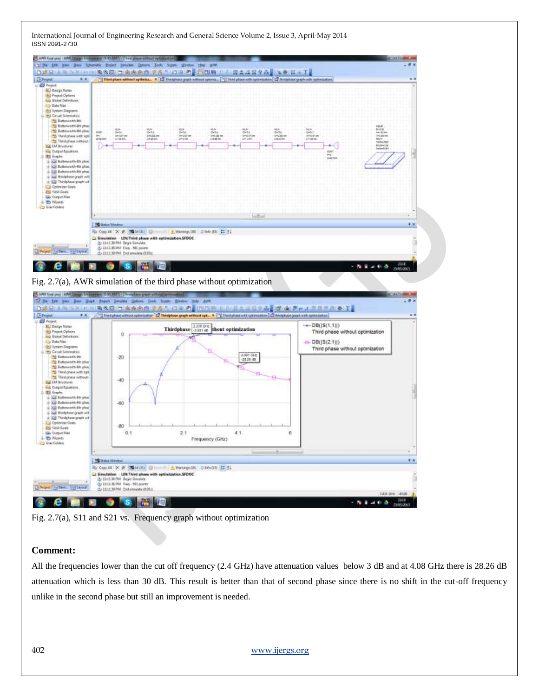

Fig. 2.7(a), AWR simulation of the third phase without optimization



Fig. 2.7(a), S11 and S21 vs. Frequency graph without optimization

#### **Comment:**

All the frequencies lower than the cut off frequency (2.4 GHz) have attenuation values below 3 dB and at 4.08 GHz there is 28.26 dB attenuation which is less than 30 dB. This result is better than that of second phase since there is no shift in the cut-off frequency unlike in the second phase but still an improvement is needed.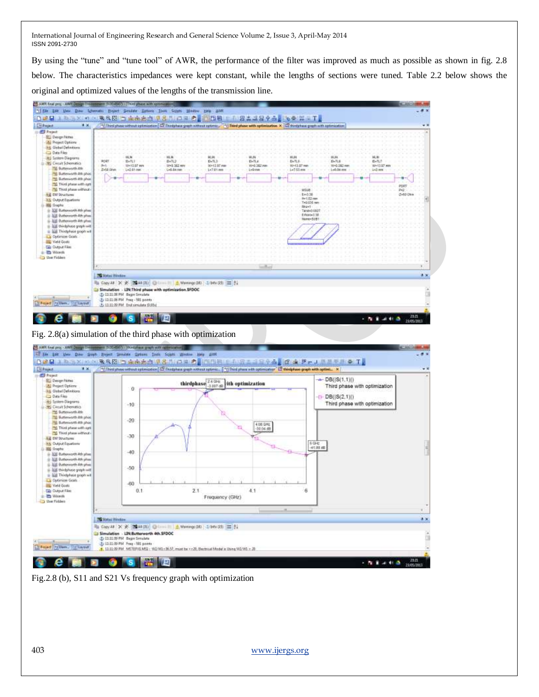By using the "tune" and "tune tool" of AWR, the performance of the filter was improved as much as possible as shown in fig. 2.8 below. The characteristics impedances were kept constant, while the lengths of sections were tuned. Table 2.2 below shows the original and optimized values of the lengths of the transmission line.



Fig.2.8 (b), S11 and S21 Vs frequency graph with optimization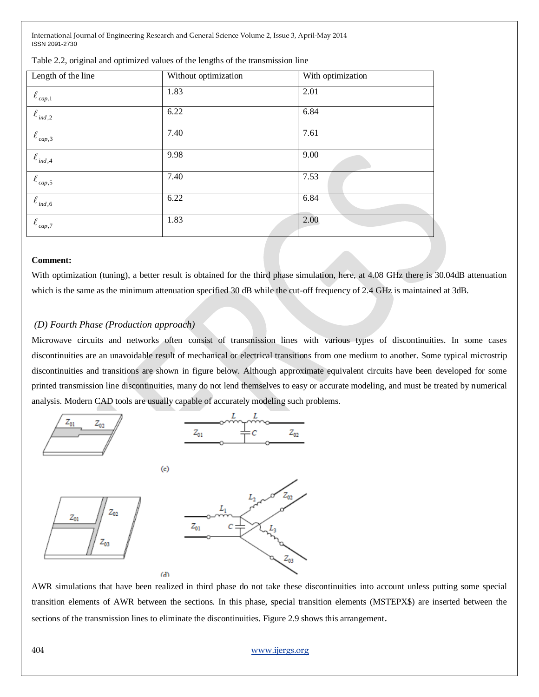| Length of the line      | Without optimization | With optimization |
|-------------------------|----------------------|-------------------|
| $\ell_{cap,1}$          | 1.83                 | 2.01              |
| $\ell_{\mathit{ind},2}$ | 6.22                 | 6.84              |
| $\ell_{cap,3}$          | 7.40                 | 7.61              |
| $\ell_{\mathit{ind},4}$ | 9.98                 | 9.00              |
| $\ell_{cap,5}$          | 7.40                 | 7.53              |
| $\ell_{ind,6}$          | 6.22                 | 6.84              |
| $\ell_{cap,7}$          | 1.83                 | 2.00              |

Table 2.2, original and optimized values of the lengths of the transmission line

#### **Comment:**

With optimization (tuning), a better result is obtained for the third phase simulation, here, at 4.08 GHz there is 30.04dB attenuation which is the same as the minimum attenuation specified 30 dB while the cut-off frequency of 2.4 GHz is maintained at 3dB.

#### *(D) Fourth Phase (Production approach)*

Microwave circuits and networks often consist of transmission lines with various types of discontinuities. In some cases discontinuities are an unavoidable result of mechanical or electrical transitions from one medium to another. Some typical microstrip discontinuities and transitions are shown in figure below. Although approximate equivalent circuits have been developed for some printed transmission line discontinuities, many do not lend themselves to easy or accurate modeling, and must be treated by numerical analysis. Modern CAD tools are usually capable of accurately modeling such problems.



 $\left($ c $\right)$ 

 $(d)$ 





AWR simulations that have been realized in third phase do not take these discontinuities into account unless putting some special transition elements of AWR between the sections. In this phase, special transition elements (MSTEPX\$) are inserted between the sections of the transmission lines to eliminate the discontinuities. Figure 2.9 shows this arrangement.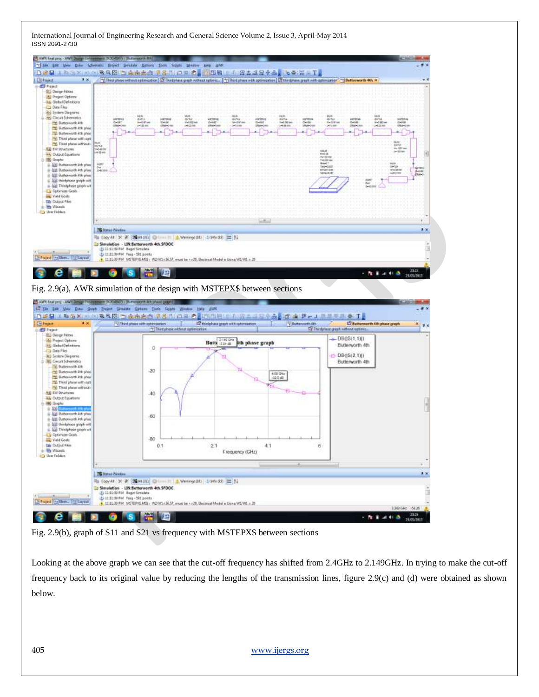

Fig. 2.9(a), AWR simulation of the design with MSTEPX\$ between sections



Fig. 2.9(b), graph of S11 and S21 vs frequency with MSTEPX\$ between sections

Looking at the above graph we can see that the cut-off frequency has shifted from 2.4GHz to 2.149GHz. In trying to make the cut-off frequency back to its original value by reducing the lengths of the transmission lines, figure 2.9(c) and (d) were obtained as shown below.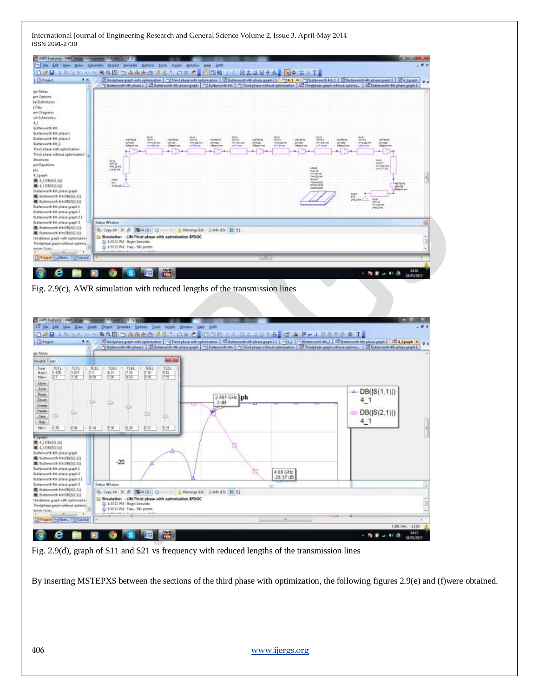| <b>Circle</b> Project<br># K.                                                                                                                                                                                                                                                                                                                                                                                                | 1000日:1015×10.000克元目   自由市立度 (1.8.1) 1011 の上の日本   1010 101 1024 1024 1025 1026 1026 1027 1026 1027 1<br>C discipline graph with optimization [17] This phase with optimization [12] distances th 4th phase graph [12] "T[4,1 × (17] Buttonworth 4th [1] [2] Buttonworth 4th phase graph [12] 4 (graph ]<br>TSubbounds Microsoft 1 (2) Euthoricals plans greek   TSUmmerts 4th   TSUmid plans without or meaner   (2) Third plans pagin without optimiz.   (2) Euthoricals 4th plans pagin 1 |          |              |              |                 |                            |
|------------------------------------------------------------------------------------------------------------------------------------------------------------------------------------------------------------------------------------------------------------------------------------------------------------------------------------------------------------------------------------------------------------------------------|---------------------------------------------------------------------------------------------------------------------------------------------------------------------------------------------------------------------------------------------------------------------------------------------------------------------------------------------------------------------------------------------------------------------------------------------------------------------------------------------|----------|--------------|--------------|-----------------|----------------------------|
|                                                                                                                                                                                                                                                                                                                                                                                                                              |                                                                                                                                                                                                                                                                                                                                                                                                                                                                                             |          |              |              |                 |                            |
|                                                                                                                                                                                                                                                                                                                                                                                                                              |                                                                                                                                                                                                                                                                                                                                                                                                                                                                                             |          |              |              |                 |                            |
|                                                                                                                                                                                                                                                                                                                                                                                                                              |                                                                                                                                                                                                                                                                                                                                                                                                                                                                                             |          |              |              |                 |                            |
| bal Defendions                                                                                                                                                                                                                                                                                                                                                                                                               |                                                                                                                                                                                                                                                                                                                                                                                                                                                                                             |          |              |              |                 |                            |
|                                                                                                                                                                                                                                                                                                                                                                                                                              |                                                                                                                                                                                                                                                                                                                                                                                                                                                                                             |          |              |              |                 |                            |
| sere Diagnores<br>sat Schematics                                                                                                                                                                                                                                                                                                                                                                                             |                                                                                                                                                                                                                                                                                                                                                                                                                                                                                             |          |              |              |                 |                            |
|                                                                                                                                                                                                                                                                                                                                                                                                                              |                                                                                                                                                                                                                                                                                                                                                                                                                                                                                             |          |              |              |                 |                            |
| Butterworth itm                                                                                                                                                                                                                                                                                                                                                                                                              |                                                                                                                                                                                                                                                                                                                                                                                                                                                                                             |          |              |              |                 |                            |
| Butterworth 4th phase 1                                                                                                                                                                                                                                                                                                                                                                                                      |                                                                                                                                                                                                                                                                                                                                                                                                                                                                                             |          |              |              |                 |                            |
| Butterworth 4th phone 2<br>Butterworth 4th 1                                                                                                                                                                                                                                                                                                                                                                                 |                                                                                                                                                                                                                                                                                                                                                                                                                                                                                             | $-132 +$ |              | HASE HA      |                 |                            |
| Third phase with optimization                                                                                                                                                                                                                                                                                                                                                                                                |                                                                                                                                                                                                                                                                                                                                                                                                                                                                                             |          |              |              |                 |                            |
| Third phase without optimization                                                                                                                                                                                                                                                                                                                                                                                             |                                                                                                                                                                                                                                                                                                                                                                                                                                                                                             |          |              |              |                 |                            |
| aut Equations                                                                                                                                                                                                                                                                                                                                                                                                                | H.                                                                                                                                                                                                                                                                                                                                                                                                                                                                                          |          |              |              |                 |                            |
|                                                                                                                                                                                                                                                                                                                                                                                                                              | <b>14.57.44</b>                                                                                                                                                                                                                                                                                                                                                                                                                                                                             |          |              | <b>LISLA</b> |                 |                            |
|                                                                                                                                                                                                                                                                                                                                                                                                                              |                                                                                                                                                                                                                                                                                                                                                                                                                                                                                             |          |              |              |                 |                            |
| <b>第4,609(50.1))</b><br><b>第4,10985以1日</b>                                                                                                                                                                                                                                                                                                                                                                                   | $1 - 42 =$                                                                                                                                                                                                                                                                                                                                                                                                                                                                                  |          |              |              | Wow.t.mt        |                            |
| Butterworth 4th phone graph                                                                                                                                                                                                                                                                                                                                                                                                  |                                                                                                                                                                                                                                                                                                                                                                                                                                                                                             |          |              |              | <b>Hard Ave</b> |                            |
| E Gutterworth 411-072353.112                                                                                                                                                                                                                                                                                                                                                                                                 |                                                                                                                                                                                                                                                                                                                                                                                                                                                                                             |          |              |              |                 |                            |
| B: Rutterwirth 4th DEES(2.1))                                                                                                                                                                                                                                                                                                                                                                                                |                                                                                                                                                                                                                                                                                                                                                                                                                                                                                             |          |              |              |                 | 145.021                    |
| Butterworth 4th phone graph 1<br>Butterworth 4th phase graph 2                                                                                                                                                                                                                                                                                                                                                               |                                                                                                                                                                                                                                                                                                                                                                                                                                                                                             |          |              |              |                 |                            |
| Butterworth 4th phase graph 21                                                                                                                                                                                                                                                                                                                                                                                               |                                                                                                                                                                                                                                                                                                                                                                                                                                                                                             |          |              |              |                 |                            |
| Butterworth 4th phesic graph 3                                                                                                                                                                                                                                                                                                                                                                                               | <b>Status Window</b>                                                                                                                                                                                                                                                                                                                                                                                                                                                                        |          |              |              |                 |                            |
| ■ Butterworth 4th DB(S2L1)<br>■ Butterworth 4thD8(5(21))                                                                                                                                                                                                                                                                                                                                                                     | 4b Cap 40 × ※ 图 40 (0) B month & Ware (06 2 Mod 5 出生                                                                                                                                                                                                                                                                                                                                                                                                                                        |          |              |              |                 |                            |
| Hindphese greath with optimization                                                                                                                                                                                                                                                                                                                                                                                           | 3 Simulation - LIR Third phase with optimization SFDOC                                                                                                                                                                                                                                                                                                                                                                                                                                      |          |              |              |                 |                            |
| Thindalhase graph without aptimic.                                                                                                                                                                                                                                                                                                                                                                                           | 20 1:37:13 PM Begin Smulete<br>1 1:07:11 PM Freq - 501 points                                                                                                                                                                                                                                                                                                                                                                                                                               |          |              |              |                 |                            |
|                                                                                                                                                                                                                                                                                                                                                                                                                              | A Brickship C                                                                                                                                                                                                                                                                                                                                                                                                                                                                               |          |              |              |                 |                            |
| <b>Exflored [my Elern., 178 Layest</b>                                                                                                                                                                                                                                                                                                                                                                                       |                                                                                                                                                                                                                                                                                                                                                                                                                                                                                             |          |              |              |                 |                            |
|                                                                                                                                                                                                                                                                                                                                                                                                                              |                                                                                                                                                                                                                                                                                                                                                                                                                                                                                             |          |              |              |                 |                            |
|                                                                                                                                                                                                                                                                                                                                                                                                                              | M.                                                                                                                                                                                                                                                                                                                                                                                                                                                                                          |          |              |              |                 | 34:13                      |
|                                                                                                                                                                                                                                                                                                                                                                                                                              | Fig. $2.9(c)$ , AWR simulation with reduced lengths of the transmission lines                                                                                                                                                                                                                                                                                                                                                                                                               |          |              |              |                 | ALC: NO<br><b>SU05/391</b> |
| AWI AWI Shall pag - AWI Design Environment                                                                                                                                                                                                                                                                                                                                                                                   | <b>200 BEATTING THE</b>                                                                                                                                                                                                                                                                                                                                                                                                                                                                     |          |              |              |                 |                            |
|                                                                                                                                                                                                                                                                                                                                                                                                                              | 122 Elle Late View Draw Graph, Broject Shradate Daturn Tools Supply Blokkey Help HWR                                                                                                                                                                                                                                                                                                                                                                                                        |          |              |              |                 |                            |
|                                                                                                                                                                                                                                                                                                                                                                                                                              | ·日本县 3 和活火 10 个数多图 当南南南京 化合力 白菜 的复数图画 10 小豆类 4 品分晶曲度 南 萨米 4 小果果那季 工                                                                                                                                                                                                                                                                                                                                                                                                                         |          |              |              |                 |                            |
| 年 区                                                                                                                                                                                                                                                                                                                                                                                                                          | Chickphase graph with optimization [17] Thed phase with optimization [152 Buttowards 4th phase graph 21 [17] 4,1 [17] Addnown 0.4 (6, 2] [152 Buttowards 4th phase graph 31 [152 Buttowards 4th phase graph 31] [152 Buttoward                                                                                                                                                                                                                                                              |          |              |              |                 |                            |
|                                                                                                                                                                                                                                                                                                                                                                                                                              | 기Sattewarth 4th plane 1   C2 Euthnetth Ah plane green   "Ticketswarth 4th   "Titled plane without optimization   C2 Thirdplane graph without optimiz.   전 Buttowarth 4th plane graph I                                                                                                                                                                                                                                                                                                      |          |              |              |                 |                            |
|                                                                                                                                                                                                                                                                                                                                                                                                                              |                                                                                                                                                                                                                                                                                                                                                                                                                                                                                             |          |              |              |                 |                            |
|                                                                                                                                                                                                                                                                                                                                                                                                                              |                                                                                                                                                                                                                                                                                                                                                                                                                                                                                             | $-1$     |              |              |                 |                            |
| 71.71<br>7134<br>(1.017)<br>O <sub>2</sub>                                                                                                                                                                                                                                                                                                                                                                                   | <b>FL64.</b><br>Tives.<br><b>TLEL</b><br>11.21.<br>E-31<br>736<br>7.16<br>15.53                                                                                                                                                                                                                                                                                                                                                                                                             |          |              |              |                 |                            |
| 江湖<br>五国                                                                                                                                                                                                                                                                                                                                                                                                                     | 725<br>183<br>次官:<br>原理                                                                                                                                                                                                                                                                                                                                                                                                                                                                     |          |              |              |                 |                            |
|                                                                                                                                                                                                                                                                                                                                                                                                                              |                                                                                                                                                                                                                                                                                                                                                                                                                                                                                             |          |              |              |                 |                            |
|                                                                                                                                                                                                                                                                                                                                                                                                                              |                                                                                                                                                                                                                                                                                                                                                                                                                                                                                             |          |              |              |                 | $-4 - DB( S(1,1) )$        |
|                                                                                                                                                                                                                                                                                                                                                                                                                              |                                                                                                                                                                                                                                                                                                                                                                                                                                                                                             |          | 2.401 GHz ph |              |                 | 4 <sub>1</sub>             |
|                                                                                                                                                                                                                                                                                                                                                                                                                              |                                                                                                                                                                                                                                                                                                                                                                                                                                                                                             |          | $-3$ dB      |              |                 |                            |
|                                                                                                                                                                                                                                                                                                                                                                                                                              |                                                                                                                                                                                                                                                                                                                                                                                                                                                                                             |          |              |              |                 | DB( S(2,1) )               |
|                                                                                                                                                                                                                                                                                                                                                                                                                              |                                                                                                                                                                                                                                                                                                                                                                                                                                                                                             |          |              |              |                 |                            |
| 8.14<br>0.94                                                                                                                                                                                                                                                                                                                                                                                                                 | 压断 核激<br>原理<br>1.1529                                                                                                                                                                                                                                                                                                                                                                                                                                                                       |          |              |              |                 | 4 <sup>1</sup>             |
|                                                                                                                                                                                                                                                                                                                                                                                                                              |                                                                                                                                                                                                                                                                                                                                                                                                                                                                                             |          |              |              |                 |                            |
|                                                                                                                                                                                                                                                                                                                                                                                                                              |                                                                                                                                                                                                                                                                                                                                                                                                                                                                                             |          |              |              |                 |                            |
|                                                                                                                                                                                                                                                                                                                                                                                                                              |                                                                                                                                                                                                                                                                                                                                                                                                                                                                                             |          |              |              |                 |                            |
|                                                                                                                                                                                                                                                                                                                                                                                                                              |                                                                                                                                                                                                                                                                                                                                                                                                                                                                                             |          |              |              |                 |                            |
|                                                                                                                                                                                                                                                                                                                                                                                                                              |                                                                                                                                                                                                                                                                                                                                                                                                                                                                                             |          |              |              |                 |                            |
|                                                                                                                                                                                                                                                                                                                                                                                                                              | $-20$                                                                                                                                                                                                                                                                                                                                                                                                                                                                                       |          |              |              |                 |                            |
|                                                                                                                                                                                                                                                                                                                                                                                                                              |                                                                                                                                                                                                                                                                                                                                                                                                                                                                                             |          |              | 4:08 GHz     |                 |                            |
|                                                                                                                                                                                                                                                                                                                                                                                                                              |                                                                                                                                                                                                                                                                                                                                                                                                                                                                                             |          |              | 28.37 dB     |                 |                            |
|                                                                                                                                                                                                                                                                                                                                                                                                                              | <b>Status Window</b>                                                                                                                                                                                                                                                                                                                                                                                                                                                                        |          |              |              |                 |                            |
|                                                                                                                                                                                                                                                                                                                                                                                                                              | 3b Cay #1: X: ※ 图 # (R) ① mm = 11 上 Wavey (06   2-94) (15   12   14                                                                                                                                                                                                                                                                                                                                                                                                                         |          |              |              |                 |                            |
|                                                                                                                                                                                                                                                                                                                                                                                                                              | 1 Simulation - LIR Third phase with optimization SFDOC                                                                                                                                                                                                                                                                                                                                                                                                                                      |          |              |              |                 |                            |
| Thinkphase graph without riptimis.                                                                                                                                                                                                                                                                                                                                                                                           | (§) 1:17:11 PM Begin Smulete<br>(b) 1:17:11 PM Freq - 501 points<br>المستقدمة المتعادية                                                                                                                                                                                                                                                                                                                                                                                                     |          |              |              |                 |                            |
| Vanable Turier<br><b>FL14</b><br>1:525<br>7T.<br>11.96<br>4.5.09 (50.11)<br>■ 4,108892.110<br>Butterworth 4th phone graph<br>Gatterworth 411-09150.111<br>B. Rutterwirth 4th DEESC.119<br>Butterworth 4th phone graph 1<br>Butterworth 4th phase graph 2<br>Butterworth 4th phase graph 21<br>Suttamenth 4th phase graph 3<br>■ Butterworth 4th DB(5(1.1))<br>Bi Butterworth 4th D8(52.1))<br>Hirdphese great with outmuster |                                                                                                                                                                                                                                                                                                                                                                                                                                                                                             |          |              |              |                 |                            |

Fig. 2.9(d), graph of S11 and S21 vs frequency with reduced lengths of the transmission lines

By inserting MSTEPX\$ between the sections of the third phase with optimization, the following figures 2.9(e) and (f)were obtained.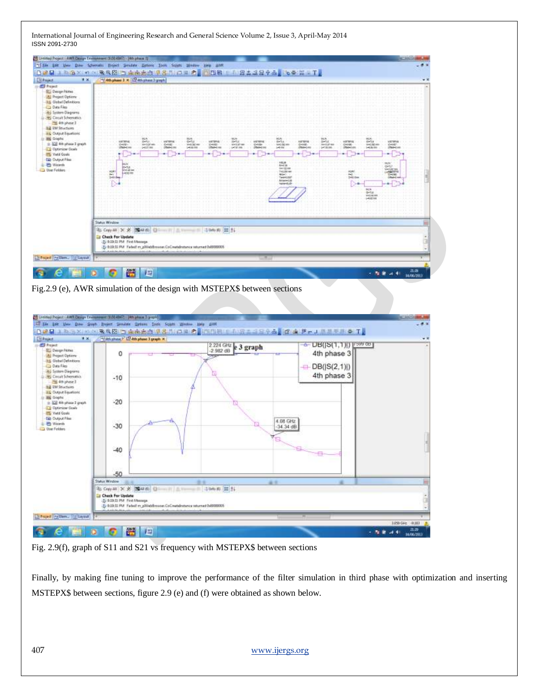



Fig. 2.9(f), graph of S11 and S21 vs frequency with MSTEPX\$ between sections

Finally, by making fine tuning to improve the performance of the filter simulation in third phase with optimization and inserting MSTEPX\$ between sections, figure 2.9 (e) and (f) were obtained as shown below.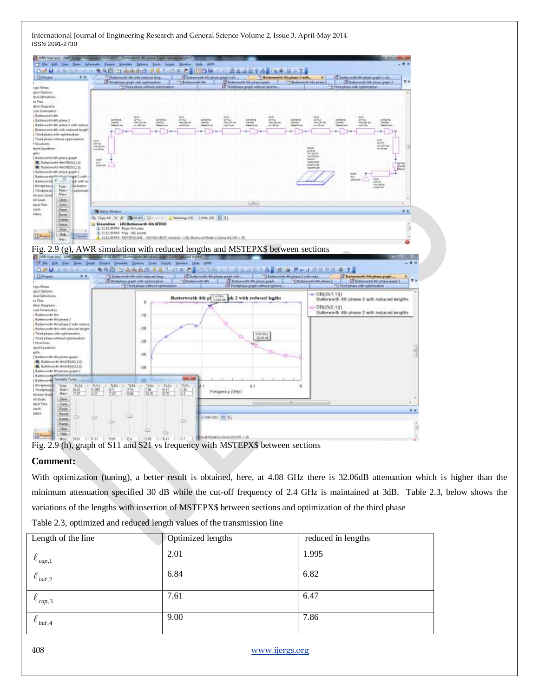

Fig. 2.9 (h), graph of S11 and S21 vs frequency with MSTEPX\$ between sections

# **Comment:**

With optimization (tuning), a better result is obtained, here, at 4.08 GHz there is 32.06dB attenuation which is higher than the minimum attenuation specified 30 dB while the cut-off frequency of 2.4 GHz is maintained at 3dB. Table 2.3, below shows the variations of the lengths with insertion of MSTEPX\$ between sections and optimization of the third phase

|  |  |  | Table 2.3, optimized and reduced length values of the transmission line |  |
|--|--|--|-------------------------------------------------------------------------|--|
|  |  |  |                                                                         |  |

| Length of the line | Optimized lengths | reduced in lengths |
|--------------------|-------------------|--------------------|
| $\ell_{cap,1}$     | 2.01              | 1.995              |
| $\ell_{ind,2}$     | 6.84              | 6.82               |
| $\ell_{cap,3}$     | 7.61              | 6.47               |
| $\ell_{ind,4}$     | 9.00              | 7.86               |